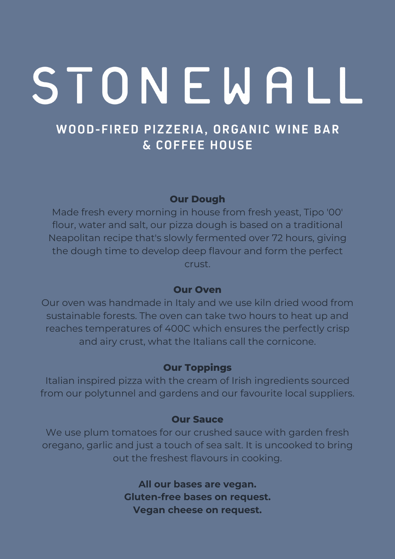## WOOD-FIRED PIZZERIA, ORGANIC WINE BAR & COFFEE HOUSE

#### **Our Dough**

Made fresh every morning in house from fresh yeast, Tipo '00' flour, water and salt, our pizza dough is based on a traditional Neapolitan recipe that's slowly fermented over 72 hours, giving the dough time to develop deep flavour and form the perfect crust.

#### **Our Oven**

Our oven was handmade in Italy and we use kiln dried wood from sustainable forests. The oven can take two hours to heat up and reaches temperatures of 400C which ensures the perfectly crisp and airy crust, what the Italians call the cornicone.

#### **Our Toppings**

Italian inspired pizza with the cream of Irish ingredients sourced from our polytunnel and gardens and our favourite local suppliers.

#### **Our Sauce**

We use plum tomatoes for our crushed sauce with garden fresh oregano, garlic and just a touch of sea salt. It is uncooked to bring out the freshest flavours in cooking.

> **All our bases are vegan. Gluten-free bases on request. Vegan cheese on request.**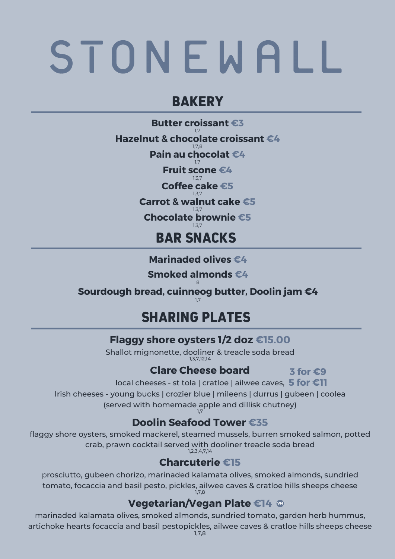## **BAKERY**

**Butter croissant €3** 1,7 **Hazelnut & chocolate croissant €4** 1,7,8 **Pain au chocolat €4** 1,7 **Fruit scone €4** 137 **Coffee cake €5** 1,3,7 **Carrot & walnut cake €5**  $7,7$ **Chocolate brownie €5** 1,3,7 **BAR SNACKS**

**Marinaded olives €4**

**Smoked almonds €4**

8 **Sourdough bread, cuinneog butter, Doolin jam €4** 1,7

## **SHARING PLATES**

### **Flaggy shore oysters 1/2 doz €15.00**

Shallot mignonette, dooliner & treacle soda bread 1,3,7,12,14

### **Clare Cheese board**

**3 for €9**

local cheeses - st tola | cratloe | ailwee caves, **5 for €11**

Irish cheeses - young bucks | crozier blue | mileens | durrus | gubeen | coolea (served with homemade apple and dillisk chutney)

#### 1,7 **Doolin Seafood Tower €35**

flaggy shore oysters, smoked mackerel, steamed mussels, burren smoked salmon, potted crab, prawn cocktail served with dooliner treacle soda bread 1,2,3,4,7,14

## **Charcuterie €15**

prosciutto, gubeen chorizo, marinaded kalamata olives, smoked almonds, sundried tomato, focaccia and basil pesto, pickles, ailwee caves & cratloe hills sheeps cheese 1,7,8

## **Vegetarian/Vegan Plate €14 ®**

marinaded kalamata olives, smoked almonds, sundried tomato, garden herb hummus, artichoke hearts focaccia and basil pestopickles, ailwee caves & cratloe hills sheeps cheese 1,7,8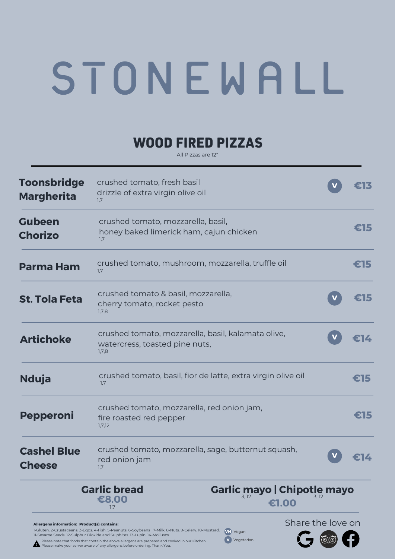## **WOOD FIRED PIZZAS**

All Pizzas are 12"

| <b>Toonsbridge</b><br><b>Margherita</b>     | crushed tomato, fresh basil<br>drizzle of extra virgin olive oil<br>1,7                       |                                             |                   |        |
|---------------------------------------------|-----------------------------------------------------------------------------------------------|---------------------------------------------|-------------------|--------|
| <b>Gubeen</b><br><b>Chorizo</b>             | crushed tomato, mozzarella, basil,<br>honey baked limerick ham, cajun chicken<br>1,7          |                                             |                   | €15    |
| <b>Parma Ham</b>                            | crushed tomato, mushroom, mozzarella, truffle oil<br>1.7                                      |                                             |                   | €15    |
| <b>St. Tola Feta</b>                        | crushed tomato & basil, mozzarella,<br>cherry tomato, rocket pesto<br>1,7,8                   |                                             |                   | 315    |
| <b>Artichoke</b>                            | crushed tomato, mozzarella, basil, kalamata olive,<br>watercress, toasted pine nuts,<br>1,7,8 |                                             |                   | 31 Z . |
| <b>Nduja</b>                                | crushed tomato, basil, fior de latte, extra virgin olive oil<br>1,7                           |                                             |                   | €15    |
| <b>Pepperoni</b>                            | crushed tomato, mozzarella, red onion jam,<br>fire roasted red pepper<br>1,7,12               |                                             |                   | €15    |
| <b>Cashel Blue</b><br><b>Cheese</b>         | crushed tomato, mozzarella, sage, butternut squash,<br>red onion jam<br>1,7                   |                                             |                   |        |
|                                             | <b>Garlic bread</b><br>€8.00<br>1,7                                                           | <b>Garlic mayo   Chipotle mayo</b><br>€1.00 |                   |        |
| Allergens information: Product(s) contains: |                                                                                               |                                             | Share the love on |        |

**VN** Vegan **V** Vegetarian

1-Gluten. 2-Crustaceans. 3-Eggs. 4-Fish. 5-Peanuts. 6-Soybeans 7-Milk. 8-Nuts. 9-Celery. 10-Mustard. 11-Sesame Seeds. 12-Sulphur Dioxide and Sulphites. 13-Lupin. 14-Molluscs. Please note that foods that contain the above allergens are prepared and cooked in our Kitchen. Please make your server aware of any allergens before ordering. Thank You.

 $G$   $\circledcirc$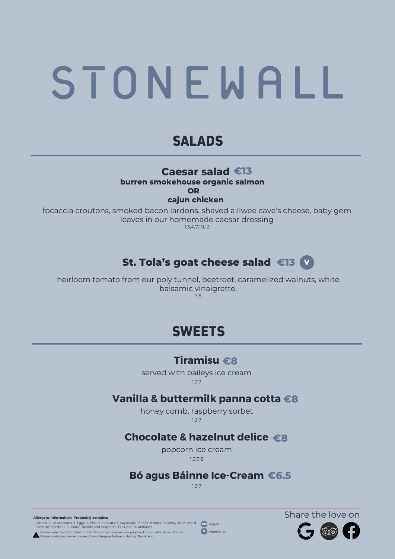## **SALADS**

#### **Caesar salad €13**

**burren smokehouse organic salmon**

**OR**

**cajun chicken**

focaccia croutons, smoked bacon lardons, shaved aillwee cave's cheese, baby gem leaves in our homemade caesar dressing 1,3,4,7,10,12

## **St. Tola's goat cheese salad <sup>V</sup> €13**

heirloom tomato from our poly tunnel, beetroot, caramelized walnuts, white balsamic vinaigrette, 7,8

## **SWEETS**

#### **Tiramisu €8**

served with baileys ice cream 1,3,7

#### **Vanilla & buttermilk panna cotta €8**

honey comb, raspberry sorbet 1,3,7

## **Chocolate & hazelnut delice €8**

popcorn ice cream 1,3,7,8

### **Bó agus Báinne Ice-Cream €6.5**

1,3,7

**Allergens information: Product(s) contains:**

1-Gluten. 2-Crustaceans. 3-Eggs. 4-Fish. 5-Peanuts. 6-Soybeans 7-Milk. 8-Nuts. 9-Celery. 10-Mustard. **VN**) Vegan<br>11-Sesame Seeds. 12-Sulphur Dioxide and Sulphites. 13-Lupin. 14-Molluscs.

Please note that foods that contain the above allergens are prepared and cooked in our Kitchen.<br>Please make your server aware of any allergens before ordering. Thank You.

**V** Vegetarian